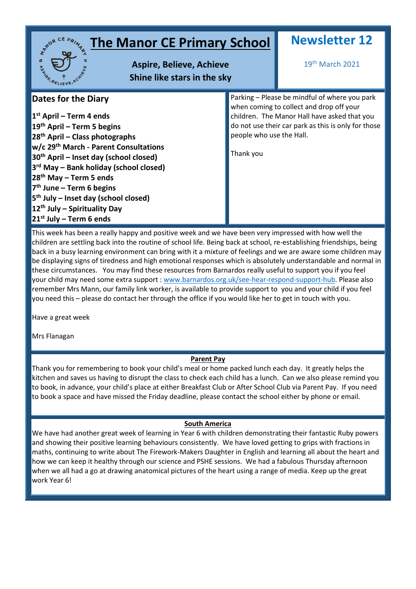| <b>The Manor CE Primary School</b><br><b>Aspire, Believe, Achieve</b><br><b>PSS AFELIEV</b><br>Shine like stars in the sky                                                                                                                                                                                                                                                                                                                                                   |                                       | <b>Newsletter 12</b><br>19 <sup>th</sup> March 2021                                                                                                                                              |
|------------------------------------------------------------------------------------------------------------------------------------------------------------------------------------------------------------------------------------------------------------------------------------------------------------------------------------------------------------------------------------------------------------------------------------------------------------------------------|---------------------------------------|--------------------------------------------------------------------------------------------------------------------------------------------------------------------------------------------------|
| <b>Dates for the Diary</b><br>$1st$ April – Term 4 ends<br>$19th$ April – Term 5 begins<br>$28th$ April – Class photographs<br>w/c 29 <sup>th</sup> March - Parent Consultations<br>30 <sup>th</sup> April – Inset day (school closed)<br>3 <sup>rd</sup> May – Bank holiday (school closed)<br>$28th$ May – Term 5 ends<br>$7th$ June – Term 6 begins<br>$5th$ July – Inset day (school closed)<br>12 <sup>th</sup> July – Spirituality Day<br>$21^{st}$ July – Term 6 ends | people who use the Hall.<br>Thank you | Parking - Please be mindful of where you park<br>when coming to collect and drop off your<br>children. The Manor Hall have asked that you<br>do not use their car park as this is only for those |

This week has been a really happy and positive week and we have been very impressed with how well the children are settling back into the routine of school life. Being back at school, re-establishing friendships, being back in a busy learning environment can bring with it a mixture of feelings and we are aware some children may be displaying signs of tiredness and high emotional responses which is absolutely understandable and normal in these circumstances. You may find these resources from Barnardos really useful to support you if you feel your child may need some extra support : [www.barnardos.org.uk/see-hear-respond-support-hub.](http://www.barnardos.org.uk/see-hear-respond-support-hub) Please also remember Mrs Mann, our family link worker, is available to provide support to you and your child if you feel you need this – please do contact her through the office if you would like her to get in touch with you.

Have a great week

Mrs Flanagan

# **Parent Pay**

Thank you for remembering to book your child's meal or home packed lunch each day. It greatly helps the kitchen and saves us having to disrupt the class to check each child has a lunch. Can we also please remind you to book, in advance, your child's place at either Breakfast Club or After School Club via Parent Pay. If you need to book a space and have missed the Friday deadline, please contact the school either by phone or email.

# **South America**

We have had another great week of learning in Year 6 with children demonstrating their fantastic Ruby powers and showing their positive learning behaviours consistently. We have loved getting to grips with fractions in maths, continuing to write about The Firework-Makers Daughter in English and learning all about the heart and how we can keep it healthy through our science and PSHE sessions. We had a fabulous Thursday afternoon when we all had a go at drawing anatomical pictures of the heart using a range of media. Keep up the great work Year 6!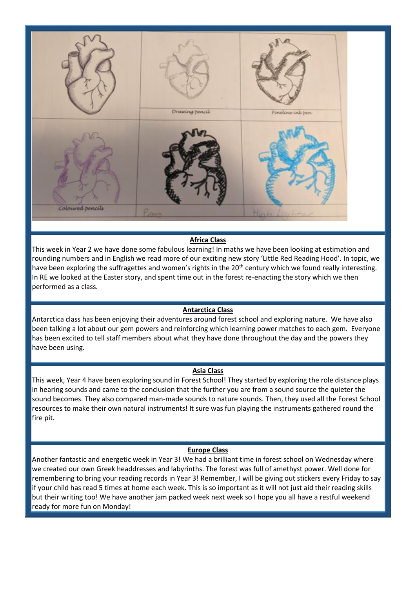

## **Africa Class**

This week in Year 2 we have done some fabulous learning! In maths we have been looking at estimation and rounding numbers and in English we read more of our exciting new story 'Little Red Reading Hood'. In topic, we have been exploring the suffragettes and women's rights in the 20<sup>th</sup> century which we found really interesting. In RE we looked at the Easter story, and spent time out in the forest re-enacting the story which we then performed as a class.

### **Antarctica Class**

Antarctica class has been enjoying their adventures around forest school and exploring nature. We have also been talking a lot about our gem powers and reinforcing which learning power matches to each gem. Everyone has been excited to tell staff members about what they have done throughout the day and the powers they have been using.

### **Asia Class**

This week, Year 4 have been exploring sound in Forest School! They started by exploring the role distance plays in hearing sounds and came to the conclusion that the further you are from a sound source the quieter the sound becomes. They also compared man-made sounds to nature sounds. Then, they used all the Forest School resources to make their own natural instruments! It sure was fun playing the instruments gathered round the fire pit.

### **Europe Class**

Another fantastic and energetic week in Year 3! We had a brilliant time in forest school on Wednesday where we created our own Greek headdresses and labyrinths. The forest was full of amethyst power. Well done for remembering to bring your reading records in Year 3! Remember, I will be giving out stickers every Friday to say if your child has read 5 times at home each week. This is so important as it will not just aid their reading skills but their writing too! We have another jam packed week next week so I hope you all have a restful weekend ready for more fun on Monday!